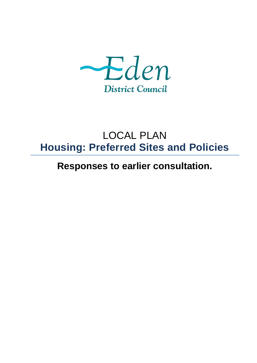

# LOCAL PLAN **Housing: Preferred Sites and Policies**

**Responses to earlier consultation.**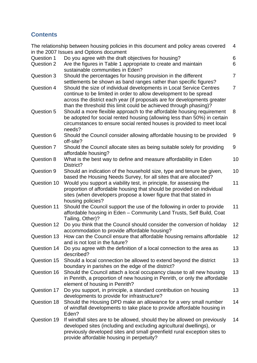# **Contents**

|             | The relationship between housing policies in this document and policy areas covered                                                               | $\overline{4}$ |
|-------------|---------------------------------------------------------------------------------------------------------------------------------------------------|----------------|
|             | in the 2007 Issues and Options document                                                                                                           |                |
| Question 1  | Do you agree with the draft objectives for housing?                                                                                               | 6              |
| Question 2  | Are the figures in Table 1 appropriate to create and maintain<br>sustainable communities in Eden?                                                 | 6              |
| Question 3  | Should the percentages for housing provision in the different                                                                                     | $\overline{7}$ |
|             | settlements be shown as band ranges rather than specific figures?                                                                                 |                |
| Question 4  | Should the size of individual developments in Local Service Centres                                                                               | $\overline{7}$ |
|             | continue to be limited in order to allow development to be spread                                                                                 |                |
|             | across the district each year (if proposals are for developments greater                                                                          |                |
|             | than the threshold this limit could be achieved through phasing)?                                                                                 |                |
| Question 5  | Should a more flexible approach to the affordable housing requirement                                                                             | 8              |
|             | be adopted for social rented housing (allowing less than 50%) in certain                                                                          |                |
|             | circumstances to ensure social rented houses is provided to meet local                                                                            |                |
| Question 6  | needs?<br>Should the Council consider allowing affordable housing to be provided                                                                  | 9              |
|             | off-site?                                                                                                                                         |                |
| Question 7  | Should the Council allocate sites as being suitable solely for providing                                                                          | 9              |
|             | affordable housing?                                                                                                                               |                |
| Question 8  | What is the best way to define and measure affordability in Eden                                                                                  | 10             |
|             | District?                                                                                                                                         |                |
| Question 9  | Should an indication of the household size, type and tenure be given,                                                                             | 10             |
| Question 10 | based the Housing Needs Survey, for all sites that are allocated?<br>Would you support a viability test, in principle, for assessing the          | 11             |
|             | proportion of affordable housing that should be provided on individual                                                                            |                |
|             | sites (when developers propose a lower figure that that stated in                                                                                 |                |
|             | housing policies?                                                                                                                                 |                |
| Question 11 | Should the Council support the use of the following in order to provide                                                                           | 11             |
|             | affordable housing in Eden - Community Land Trusts, Self Build, Coat                                                                              |                |
|             | Tailing, Other)?                                                                                                                                  |                |
| Question 12 | Do you think that the Council should consider the conversion of holiday                                                                           | 12             |
|             | accommodation to provide affordable housing?                                                                                                      |                |
| Question 13 | How can the Council ensure that affordable housing remains affordable                                                                             | 12             |
|             | and is not lost in the future?                                                                                                                    |                |
| Question 14 | Do you agree with the definition of a local connection to the area as<br>described?                                                               | 13             |
| Question 15 | Should a local connection be allowed to extend beyond the district                                                                                | 13             |
|             | boundary in parishes on the edge of the district?                                                                                                 |                |
| Question 16 | Should the Council attach a local occupancy clause to all new housing                                                                             | 13             |
|             | in Penrith, a proportion of new housing in Penrith, or only the affordable                                                                        |                |
|             | element of housing in Penrith?                                                                                                                    |                |
| Question 17 | Do you support, in principle, a standard contribution on housing                                                                                  | 13             |
|             | developments to provide for infrastructure?                                                                                                       |                |
| Question 18 | Should the Housing DPD make an allowance for a very small number                                                                                  | 14             |
|             | of windfall developments to take place to provide affordable housing in                                                                           |                |
|             | Eden?                                                                                                                                             |                |
| Question 19 | If windfall sites are to be allowed, should they be allowed on previously<br>developed sites (including and excluding agricultural dwellings), or | 14             |
|             | previously developed sites and small greenfield rural exception sites to                                                                          |                |
|             | provide affordable housing in perpetuity?                                                                                                         |                |
|             |                                                                                                                                                   |                |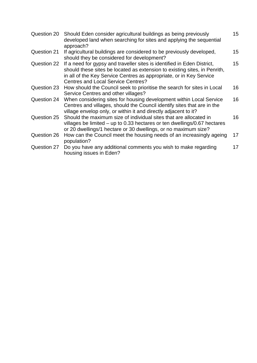| Question 20 | Should Eden consider agricultural buildings as being previously<br>developed land when searching for sites and applying the sequential<br>approach?                                                                                                                      | 15 |
|-------------|--------------------------------------------------------------------------------------------------------------------------------------------------------------------------------------------------------------------------------------------------------------------------|----|
| Question 21 | If agricultural buildings are considered to be previously developed,<br>should they be considered for development?                                                                                                                                                       | 15 |
| Question 22 | If a need for gypsy and traveller sites is identified in Eden District,<br>should these sites be located as extension to existing sites, in Penrith,<br>in all of the Key Service Centres as appropriate, or in Key Service<br><b>Centres and Local Service Centres?</b> | 15 |
| Question 23 | How should the Council seek to prioritise the search for sites in Local<br>Service Centres and other villages?                                                                                                                                                           | 16 |
| Question 24 | When considering sites for housing development within Local Service<br>Centres and villages, should the Council identify sites that are in the<br>village envelop only, or within it and directly adjacent to it?                                                        | 16 |
| Question 25 | Should the maximum size of individual sites that are allocated in<br>villages be limited $-$ up to 0.33 hectares or ten dwellings/0.67 hectares<br>or 20 dwellings/1 hectare or 30 dwellings, or no maximum size?                                                        | 16 |
| Question 26 | How can the Council meet the housing needs of an increasingly ageing<br>population?                                                                                                                                                                                      | 17 |
| Question 27 | Do you have any additional comments you wish to make regarding<br>housing issues in Eden?                                                                                                                                                                                | 17 |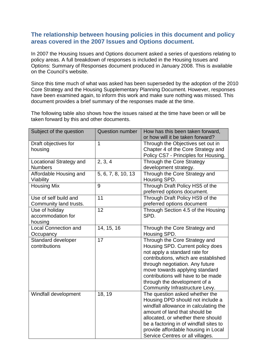## **The relationship between housing policies in this document and policy areas covered in the 2007 Issues and Options document.**

In 2007 the Housing Issues and Options document asked a series of questions relating to policy areas. A full breakdown of responses is included in the Housing Issues and Options: Summary of Responses document produced in January 2008. This is available on the Council's website.

Since this time much of what was asked has been superseded by the adoption of the 2010 Core Strategy and the Housing Supplementary Planning Document. However, responses have been examined again, to inform this work and make sure nothing was missed. This document provides a brief summary of the responses made at the time.

The following table also shows how the issues raised at the time have been or will be taken forward by this and other documents.

| Subject of the question                         | <b>Question number</b> | How has this been taken forward,<br>or how will it be taken forward?                                                                                                                                                                                                                                                    |
|-------------------------------------------------|------------------------|-------------------------------------------------------------------------------------------------------------------------------------------------------------------------------------------------------------------------------------------------------------------------------------------------------------------------|
| Draft objectives for                            | $\mathbf{1}$           | Through the Objectives set out in                                                                                                                                                                                                                                                                                       |
| housing                                         |                        | Chapter 4 of the Core Strategy and                                                                                                                                                                                                                                                                                      |
|                                                 |                        | Policy CS7 - Principles for Housing.                                                                                                                                                                                                                                                                                    |
| <b>Locational Strategy and</b>                  | 2, 3, 4                | Through the Core Strategy                                                                                                                                                                                                                                                                                               |
| <b>Numbers</b>                                  |                        | development strategy.                                                                                                                                                                                                                                                                                                   |
| Affordable Housing and<br>Viability             | 5, 6, 7, 8, 10, 13     | Through the Core Strategy and<br>Housing SPD.                                                                                                                                                                                                                                                                           |
| <b>Housing Mix</b>                              | 9                      | Through Draft Policy HS5 of the<br>preferred options document.                                                                                                                                                                                                                                                          |
| Use of self build and<br>Community land trusts. | 11                     | Through Draft Policy HS9 of the<br>preferred options document                                                                                                                                                                                                                                                           |
| Use of holiday<br>accommodation for<br>housing  | 12                     | Through Section 4.5 of the Housing<br>SPD.                                                                                                                                                                                                                                                                              |
| <b>Local Connection and</b><br>Occupancy        | 14, 15, 16             | Through the Core Strategy and<br>Housing SPD.                                                                                                                                                                                                                                                                           |
| Standard developer<br>contributions             | 17                     | Through the Core Strategy and<br>Housing SPD. Current policy does<br>not apply a standard rate for<br>contributions, which are established<br>through negotiation. Any future<br>move towards applying standard<br>contributions will have to be made<br>through the development of a<br>Community Infrastructure Levy. |
| Windfall development                            | 18, 19                 | The question asked whether the<br>Housing DPD should not include a<br>windfall allowance in calculating the<br>amount of land that should be<br>allocated, or whether there should<br>be a factoring in of windfall sites to<br>provide affordable housing in Local<br>Service Centres or all villages.                 |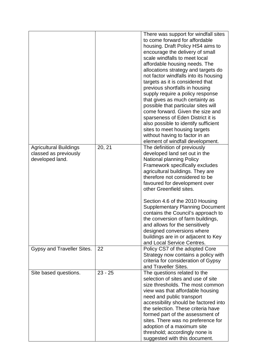|                               |           | There was support for windfall sites<br>to come forward for affordable |
|-------------------------------|-----------|------------------------------------------------------------------------|
|                               |           | housing. Draft Policy HS4 aims to                                      |
|                               |           | encourage the delivery of small                                        |
|                               |           | scale windfalls to meet local                                          |
|                               |           |                                                                        |
|                               |           | affordable housing needs. The                                          |
|                               |           | allocations strategy and targets do                                    |
|                               |           | not factor windfalls into its housing                                  |
|                               |           | targets as it is considered that                                       |
|                               |           | previous shortfalls in housing                                         |
|                               |           | supply require a policy response                                       |
|                               |           | that gives as much certainty as                                        |
|                               |           | possible that particular sites will                                    |
|                               |           | come forward. Given the size and                                       |
|                               |           | sparseness of Eden District it is                                      |
|                               |           | also possible to identify sufficient                                   |
|                               |           | sites to meet housing targets                                          |
|                               |           | without having to factor in an                                         |
|                               |           | element of windfall development.                                       |
| <b>Agricultural Buildings</b> | 20, 21    | The definition of previously                                           |
| classed as previously         |           | developed land set out in the                                          |
| developed land.               |           | <b>National planning Policy</b>                                        |
|                               |           | Framework specifically excludes                                        |
|                               |           | agricultural buildings. They are                                       |
|                               |           | therefore not considered to be                                         |
|                               |           | favoured for development over                                          |
|                               |           | other Greenfield sites.                                                |
|                               |           |                                                                        |
|                               |           | Section 4.6 of the 2010 Housing                                        |
|                               |           | <b>Supplementary Planning Document</b>                                 |
|                               |           | contains the Council's approach to                                     |
|                               |           | the conversion of farm buildings,                                      |
|                               |           | and allows for the sensitively                                         |
|                               |           | designed conversions where                                             |
|                               |           | buildings are in or adjacent to Key                                    |
|                               |           | and Local Service Centres.                                             |
| Gypsy and Traveller Sites.    | 22        | Policy CS7 of the adopted Core                                         |
|                               |           | Strategy now contains a policy with                                    |
|                               |           | criteria for consideration of Gypsy                                    |
|                               |           | and Traveller Sites.                                                   |
| Site based questions.         | $23 - 25$ | The questions related to the                                           |
|                               |           | selection of sites and use of site                                     |
|                               |           | size thresholds. The most common                                       |
|                               |           |                                                                        |
|                               |           | view was that affordable housing                                       |
|                               |           | need and public transport                                              |
|                               |           | accessibility should be factored into                                  |
|                               |           | the selection. These criteria have                                     |
|                               |           | formed part of the assessment of                                       |
|                               |           | sites. There was no preference for                                     |
|                               |           | adoption of a maximum site                                             |
|                               |           | threshold; accordingly none is                                         |
|                               |           | suggested with this document.                                          |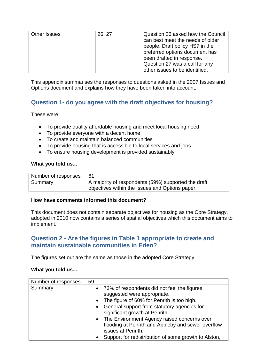| Other Issues | 26, 27 | Question 26 asked how the Council |
|--------------|--------|-----------------------------------|
|              |        | can best meet the needs of older  |
|              |        | people. Draft policy HS7 in the   |
|              |        | preferred options document has    |
|              |        | been drafted in response.         |
|              |        | Question 27 was a call for any    |
|              |        | other issues to be identified.    |

This appendix summarises the responses to questions asked in the 2007 Issues and Options document and explains how they have been taken into account.

# **Question 1- do you agree with the draft objectives for housing?**

These were:

- To provide quality affordable housing and meet local housing need
- To provide everyone with a decent home
- To create and maintain balanced communities
- To provide housing that is accessible to local services and jobs
- To ensure housing development is provided sustainably

#### **What you told us...**

| Number of responses |                                                     |
|---------------------|-----------------------------------------------------|
| Summary             | A majority of respondents (59%) supported the draft |
|                     | objectives within the Issues and Options paper.     |

#### **How have comments informed this document?**

This document does not contain separate objectives for housing as the Core Strategy, adopted in 2010 now contains a series of spatial objectives which this document aims to implement.

# **Question 2 - Are the figures in Table 1 appropriate to create and maintain sustainable communities in Eden?**

The figures set out are the same as those in the adopted Core Strategy.

| Number of responses | 59                                                                                                                                                                                                             |
|---------------------|----------------------------------------------------------------------------------------------------------------------------------------------------------------------------------------------------------------|
| Summary             | • 73% of respondents did not feel the figures<br>suggested were appropriate.<br>• The figure of 60% for Penrith is too high.<br>• General support from statutory agencies for<br>significant growth at Penrith |
|                     | • The Environment Agency raised concerns over<br>flooding at Penrith and Appleby and sewer overflow<br>issues at Penrith.<br>Support for redistribution of some growth to Alston,                              |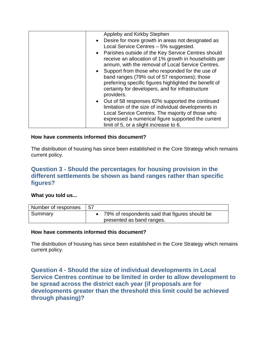| Appleby and Kirkby Stephen                                                                                                                                        |
|-------------------------------------------------------------------------------------------------------------------------------------------------------------------|
|                                                                                                                                                                   |
| • Desire for more growth in areas not designated as                                                                                                               |
| Local Service Centres - 5% suggested.                                                                                                                             |
| • Parishes outside of the Key Service Centres should<br>receive an allocation of 1% growth in households per<br>annum, with the removal of Local Service Centres. |
|                                                                                                                                                                   |
| • Support from those who responded for the use of                                                                                                                 |
| band ranges (79% out of 57 responses); those                                                                                                                      |
| preferring specific figures highlighted the benefit of                                                                                                            |
| certainty for developers, and for infrastructure                                                                                                                  |
| providers.                                                                                                                                                        |
| • Out of 58 responses 62% supported the continued                                                                                                                 |
| limitation of the size of individual developments in                                                                                                              |
| Local Service Centres. The majority of those who                                                                                                                  |
| expressed a numerical figure supported the current                                                                                                                |
| limit of 5, or a slight increase to 6.                                                                                                                            |

The distribution of housing has since been established in the Core Strategy which remains current policy.

## **Question 3 - Should the percentages for housing provision in the different settlements be shown as band ranges rather than specific figures?**

## **What you told us...**

| Number of responses | -57                                            |
|---------------------|------------------------------------------------|
| Summary             | 79% of respondents said that figures should be |
|                     | presented as band ranges.                      |

#### **How have comments informed this document?**

The distribution of housing has since been established in the Core Strategy which remains current policy.

**Question 4 - Should the size of individual developments in Local Service Centres continue to be limited in order to allow development to be spread across the district each year (if proposals are for developments greater than the threshold this limit could be achieved through phasing)?**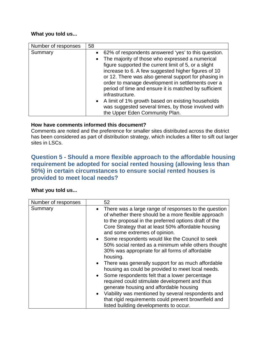## **What you told us...**

| Number of responses | 58                                                                                                                                                                                                                                                                                                                                                                                                                                                                                                                                                                            |
|---------------------|-------------------------------------------------------------------------------------------------------------------------------------------------------------------------------------------------------------------------------------------------------------------------------------------------------------------------------------------------------------------------------------------------------------------------------------------------------------------------------------------------------------------------------------------------------------------------------|
| Summary             | • 62% of respondents answered 'yes' to this question.<br>The majority of those who expressed a numerical<br>$\bullet$<br>figure supported the current limit of 5, or a slight<br>increase to 6. A few suggested higher figures of 10<br>or 12. There was also general support for phasing in<br>order to manage development in settlements over a<br>period of time and ensure it is matched by sufficient<br>infrastructure.<br>• A limit of 1% growth based on existing households<br>was suggested several times, by those involved with<br>the Upper Eden Community Plan. |

## **How have comments informed this document?**

Comments are noted and the preference for smaller sites distributed across the district has been considered as part of distribution strategy, which includes a filter to sift out larger sites in LSCs.

# **Question 5 - Should a more flexible approach to the affordable housing requirement be adopted for social rented housing (allowing less than 50%) in certain circumstances to ensure social rented houses is provided to meet local needs?**

| Number of responses | 52                                                                                                                                                                                                                                                                       |
|---------------------|--------------------------------------------------------------------------------------------------------------------------------------------------------------------------------------------------------------------------------------------------------------------------|
| Summary             | There was a large range of responses to the question<br>$\bullet$<br>of whether there should be a more flexible approach<br>to the proposal in the preferred options draft of the<br>Core Strategy that at least 50% affordable housing<br>and some extremes of opinion. |
|                     | • Some respondents would like the Council to seek<br>50% social rented as a minimum while others thought<br>30% was appropriate for all forms of affordable<br>housing.                                                                                                  |
|                     | There was generally support for as much affordable<br>$\bullet$<br>housing as could be provided to meet local needs.                                                                                                                                                     |
|                     | • Some respondents felt that a lower percentage<br>required could stimulate development and thus<br>generate housing and affordable housing                                                                                                                              |
|                     | Viability was mentioned by several respondents and<br>$\bullet$<br>that rigid requirements could prevent brownfield and<br>listed building developments to occur.                                                                                                        |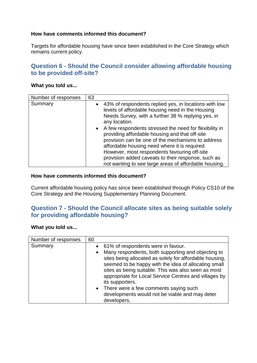Targets for affordable housing have since been established in the Core Strategy which remains current policy.

## **Question 6 - Should the Council consider allowing affordable housing to be provided off-site?**

#### **What you told us...**

| Number of responses | 63 |                                                                                                                                                                                                                                                                                                                                                                                                        |
|---------------------|----|--------------------------------------------------------------------------------------------------------------------------------------------------------------------------------------------------------------------------------------------------------------------------------------------------------------------------------------------------------------------------------------------------------|
| Summary             |    | • 43% of respondents replied yes, in locations with low<br>levels of affordable housing need in the Housing<br>Needs Survey, with a further 38 % replying yes, in<br>any location.<br>• A few respondents stressed the need for flexibility in<br>providing affordable housing and that off-site<br>provision can be one of the mechanisms to address<br>affordable housing need where it is required. |
|                     |    | However, most respondents favouring off-site                                                                                                                                                                                                                                                                                                                                                           |
|                     |    | provision added caveats to their response, such as                                                                                                                                                                                                                                                                                                                                                     |
|                     |    | not wanting to see large areas of affordable housing.                                                                                                                                                                                                                                                                                                                                                  |

#### **How have comments informed this document?**

Current affordable housing policy has since been established through Policy CS10 of the Core Strategy and the Housing Supplementary Planning Document.

# **Question 7 - Should the Council allocate sites as being suitable solely for providing affordable housing?**

| Number of responses | 60                                                                                                                                                                                                                                                                                                                    |
|---------------------|-----------------------------------------------------------------------------------------------------------------------------------------------------------------------------------------------------------------------------------------------------------------------------------------------------------------------|
| Summary             | • 61% of respondents were in favour.                                                                                                                                                                                                                                                                                  |
|                     | Many respondents, both supporting and objecting to<br>$\bullet$<br>sites being allocated as solely for affordable housing,<br>seemed to be happy with the idea of allocating small<br>sites as being suitable. This was also seen as most<br>appropriate for Local Service Centres and villages by<br>its supporters. |
|                     | • There were a few comments saying such                                                                                                                                                                                                                                                                               |
|                     | developments would not be viable and may deter<br>developers.                                                                                                                                                                                                                                                         |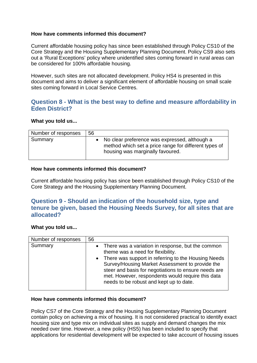Current affordable housing policy has since been established through Policy CS10 of the Core Strategy and the Housing Supplementary Planning Document. Policy CS9 also sets out a 'Rural Exceptions' policy where unidentified sites coming forward in rural areas can be considered for 100% affordable housing.

However, such sites are not allocated development. Policy HS4 is presented in this document and aims to deliver a significant element of affordable housing on small scale sites coming forward in Local Service Centres.

# **Question 8 - What is the best way to define and measure affordability in Eden District?**

#### **What you told us...**

| Number of responses | 56 |                                                                                                                                              |
|---------------------|----|----------------------------------------------------------------------------------------------------------------------------------------------|
| Summary             |    | • No clear preference was expressed, although a<br>method which set a price range for different types of<br>housing was marginally favoured. |

#### **How have comments informed this document?**

Current affordable housing policy has since been established through Policy CS10 of the Core Strategy and the Housing Supplementary Planning Document.

# **Question 9 - Should an indication of the household size, type and tenure be given, based the Housing Needs Survey, for all sites that are allocated?**

#### **What you told us...**

| Number of responses | 56                                                                                                                                                                                                                                                                                                                                                           |
|---------------------|--------------------------------------------------------------------------------------------------------------------------------------------------------------------------------------------------------------------------------------------------------------------------------------------------------------------------------------------------------------|
| Summary             | • There was a variation in response, but the common<br>theme was a need for flexibility.<br>• There was support in referring to the Housing Needs<br>Survey/Housing Market Assessment to provide the<br>steer and basis for negotiations to ensure needs are<br>met. However, respondents would require this data<br>needs to be robust and kept up to date. |

#### **How have comments informed this document?**

Policy CS7 of the Core Strategy and the Housing Supplementary Planning Document contain policy on achieving a mix of housing. It is not considered practical to identify exact housing size and type mix on individual sites as supply and demand changes the mix needed over time. However, a new policy (HS5) has been included to specify that applications for residential development will be expected to take account of housing issues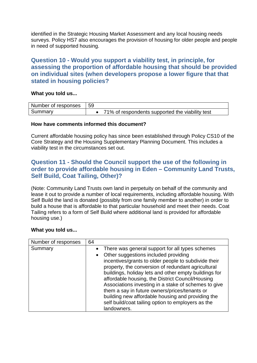identified in the Strategic Housing Market Assessment and any local housing needs surveys. Policy HS7 also encourages the provision of housing for older people and people in need of supported housing.

## **Question 10 - Would you support a viability test, in principle, for assessing the proportion of affordable housing that should be provided on individual sites (when developers propose a lower figure that that stated in housing policies?**

#### **What you told us...**

| Number of responses | 59 |                                                 |
|---------------------|----|-------------------------------------------------|
| Summary             |    | 71% of respondents supported the viability test |

#### **How have comments informed this document?**

Current affordable housing policy has since been established through Policy CS10 of the Core Strategy and the Housing Supplementary Planning Document. This includes a viability test in the circumstances set out.

# **Question 11 - Should the Council support the use of the following in order to provide affordable housing in Eden – Community Land Trusts, Self Build, Coat Tailing, Other)?**

(Note: Community Land Trusts own land in perpetuity on behalf of the community and lease it out to provide a number of local requirements, including affordable housing. With Self Build the land is donated (possibly from one family member to another) in order to build a house that is affordable to that particular household and meet their needs. Coat Tailing refers to a form of Self Build where additional land is provided for affordable housing use.)

| Number of responses | 64                                                                                                                                                                                                                                                                                                                                                                                                                                                                                                                                                                   |
|---------------------|----------------------------------------------------------------------------------------------------------------------------------------------------------------------------------------------------------------------------------------------------------------------------------------------------------------------------------------------------------------------------------------------------------------------------------------------------------------------------------------------------------------------------------------------------------------------|
| Summary             | • There was general support for all types schemes<br>Other suggestions included providing<br>$\bullet$<br>incentives/grants to older people to subdivide their<br>property, the conversion of redundant agricultural<br>buildings, holiday lets and other empty buildings for<br>affordable housing, the District Council/Housing<br>Associations investing in a stake of schemes to give<br>them a say in future owners/prices/tenants or<br>building new affordable housing and providing the<br>self build/coat tailing option to employers as the<br>landowners. |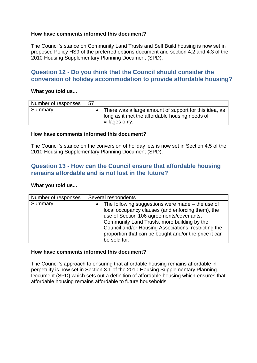The Council's stance on Community Land Trusts and Self Build housing is now set in proposed Policy HS9 of the preferred options document and section 4.2 and 4.3 of the 2010 Housing Supplementary Planning Document (SPD).

# **Question 12 - Do you think that the Council should consider the conversion of holiday accommodation to provide affordable housing?**

#### **What you told us...**

| Number of responses | 57 |                                                                                                                           |
|---------------------|----|---------------------------------------------------------------------------------------------------------------------------|
| Summary             |    | There was a large amount of support for this idea, as<br>long as it met the affordable housing needs of<br>villages only. |

#### **How have comments informed this document?**

The Council's stance on the conversion of holiday lets is now set in Section 4.5 of the 2010 Housing Supplementary Planning Document (SPD).

# **Question 13 - How can the Council ensure that affordable housing remains affordable and is not lost in the future?**

#### **What you told us...**

| Number of responses | Several respondents                                                                                                                                                                                                                                                                                                                              |  |  |
|---------------------|--------------------------------------------------------------------------------------------------------------------------------------------------------------------------------------------------------------------------------------------------------------------------------------------------------------------------------------------------|--|--|
| Summary             | The following suggestions were made $-$ the use of<br>$\bullet$<br>local occupancy clauses (and enforcing them), the<br>use of Section 106 agreements/covenants,<br>Community Land Trusts, more building by the<br>Council and/or Housing Associations, restricting the<br>proportion that can be bought and/or the price it can<br>be sold for. |  |  |

#### **How have comments informed this document?**

The Council's approach to ensuring that affordable housing remains affordable in perpetuity is now set in Section 3.1 of the 2010 Housing Supplementary Planning Document (SPD) which sets out a definition of affordable housing which ensures that affordable housing remains affordable to future households.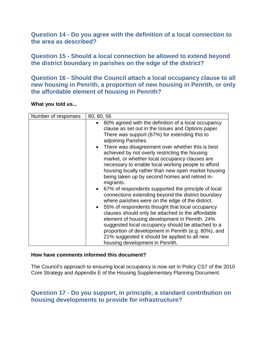**Question 14 - Do you agree with the definition of a local connection to the area as described?**

**Question 15 - Should a local connection be allowed to extend beyond the district boundary in parishes on the edge of the district?**

**Question 16 - Should the Council attach a local occupancy clause to all new housing in Penrith, a proportion of new housing in Penrith, or only the affordable element of housing in Penrith?**

**What you told us...**

| Number of responses | 60, 60, 56                                                                                                                                                                                                                                                                                                                                                                                                                                                                                                                              |  |  |
|---------------------|-----------------------------------------------------------------------------------------------------------------------------------------------------------------------------------------------------------------------------------------------------------------------------------------------------------------------------------------------------------------------------------------------------------------------------------------------------------------------------------------------------------------------------------------|--|--|
|                     | 80% agreed with the definition of a local occupancy<br>$\bullet$<br>clause as set out in the Issues and Options paper.<br>There was support (67%) for extending this to<br>adjoining Parishes.<br>• There was disagreement over whether this is best<br>achieved by not overly restricting the housing<br>market, or whether local occupancy clauses are<br>necessary to enable local working people to afford<br>housing locally rather than new open market housing<br>being taken up by second homes and retired in-<br>migrants.    |  |  |
|                     | • 67% of respondents supported the principle of local<br>connections extending beyond the district boundary<br>where parishes were on the edge of the district.<br>55% of respondents thought that local occupancy<br>$\bullet$<br>clauses should only be attached to the affordable<br>element of housing development in Penrith. 24%<br>suggested local occupancy should be attached to a<br>proportion of development in Penrith (e.g. 80%), and<br>21% suggested it should be applied to all new<br>housing development in Penrith. |  |  |

#### **How have comments informed this document?**

The Council's approach to ensuring local occupancy is now set in Policy CS7 of the 2010 Core Strategy and Appendix E of the Housing Supplementary Planning Document.

## **Question 17 - Do you support, in principle, a standard contribution on housing developments to provide for infrastructure?**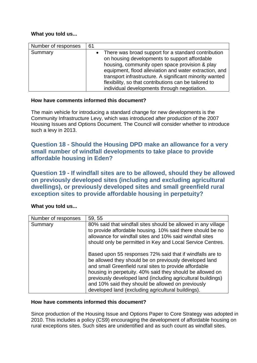## **What you told us...**

| Number of responses | 61 |                                                                                                                                                                                                                                                                                                                                                                                        |
|---------------------|----|----------------------------------------------------------------------------------------------------------------------------------------------------------------------------------------------------------------------------------------------------------------------------------------------------------------------------------------------------------------------------------------|
| Summary             |    | • There was broad support for a standard contribution<br>on housing developments to support affordable<br>housing, community open space provision & play<br>equipment, flood alleviation and water extraction, and<br>transport infrastructure. A significant minority wanted<br>flexibility, so that contributions can be tailored to<br>individual developments through negotiation. |

#### **How have comments informed this document?**

The main vehicle for introducing a standard change for new developments is the Community Infrastructure Levy, which was introduced after production of the 2007 Housing Issues and Options Document. The Council will consider whether to introduce such a levy in 2013.

# **Question 18 - Should the Housing DPD make an allowance for a very small number of windfall developments to take place to provide affordable housing in Eden?**

**Question 19 - If windfall sites are to be allowed, should they be allowed on previously developed sites (including and excluding agricultural dwellings), or previously developed sites and small greenfield rural exception sites to provide affordable housing in perpetuity?**

## **What you told us...**

| Number of responses | 59, 55                                                                                                                                                                                                                                                                                                                                                                                                                |
|---------------------|-----------------------------------------------------------------------------------------------------------------------------------------------------------------------------------------------------------------------------------------------------------------------------------------------------------------------------------------------------------------------------------------------------------------------|
| Summary             | 80% said that windfall sites should be allowed in any village<br>to provide affordable housing. 10% said there should be no<br>allowance for windfall sites and 10% said windfall sites<br>should only be permitted in Key and Local Service Centres.                                                                                                                                                                 |
|                     | Based upon 55 responses 72% said that if windfalls are to<br>be allowed they should be on previously developed land<br>and small Greenfield rural sites to provide affordable<br>housing in perpetuity. 40% said they should be allowed on<br>previously developed land (including agricultural buildings)<br>and 10% said they should be allowed on previously<br>developed land (excluding agricultural buildings). |

## **How have comments informed this document?**

Since production of the Housing Issue and Options Paper to Core Strategy was adopted in 2010. This includes a policy (CS9) encouraging the development of affordable housing on rural exceptions sites. Such sites are unidentified and as such count as windfall sites.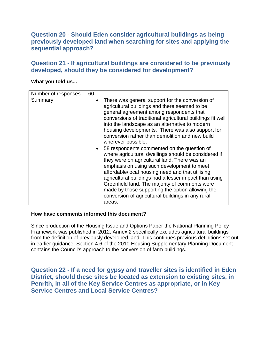# **Question 20 - Should Eden consider agricultural buildings as being previously developed land when searching for sites and applying the sequential approach?**

## **Question 21 - If agricultural buildings are considered to be previously developed, should they be considered for development?**

#### **What you told us...**

| Number of responses | 60        |                                                                                                                                                                                                                                                                                                                                                                                                                                                                                                                                                                                                                                                                                                                                                                                                                                                                                    |
|---------------------|-----------|------------------------------------------------------------------------------------------------------------------------------------------------------------------------------------------------------------------------------------------------------------------------------------------------------------------------------------------------------------------------------------------------------------------------------------------------------------------------------------------------------------------------------------------------------------------------------------------------------------------------------------------------------------------------------------------------------------------------------------------------------------------------------------------------------------------------------------------------------------------------------------|
| Summary             | $\bullet$ | There was general support for the conversion of<br>agricultural buildings and there seemed to be<br>general agreement among respondents that<br>conversions of traditional agricultural buildings fit well<br>into the landscape as an alternative to modern<br>housing developments. There was also support for<br>conversion rather than demolition and new build<br>wherever possible.<br>• 58 respondents commented on the question of<br>where agricultural dwellings should be considered if<br>they were on agricultural land. There was an<br>emphasis on using such development to meet<br>affordable/local housing need and that utilising<br>agricultural buildings had a lesser impact than using<br>Greenfield land. The majority of comments were<br>made by those supporting the option allowing the<br>conversion of agricultural buildings in any rural<br>areas. |

#### **How have comments informed this document?**

Since production of the Housing Issue and Options Paper the National Planning Policy Framework was published in 2012. Annex 2 specifically excludes agricultural buildings from the definition of previously developed land. This continues previous definitions set out in earlier guidance. Section 4.6 of the 2010 Housing Supplementary Planning Document contains the Council's approach to the conversion of farm buildings.

**Question 22 - If a need for gypsy and traveller sites is identified in Eden District, should these sites be located as extension to existing sites, in Penrith, in all of the Key Service Centres as appropriate, or in Key Service Centres and Local Service Centres?**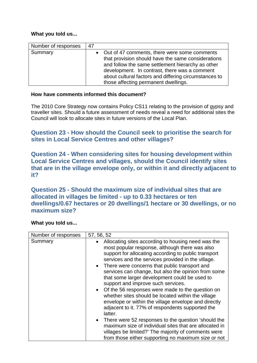## **What you told us...**

| Number of responses | 47                                                                                                                                                                                                                                                                                                          |
|---------------------|-------------------------------------------------------------------------------------------------------------------------------------------------------------------------------------------------------------------------------------------------------------------------------------------------------------|
| Summary             | • Out of 47 comments, there were some comments<br>that provision should have the same considerations<br>and follow the same settlement hierarchy as other<br>development. In contrast, there was a comment<br>about cultural factors and differing circumstances to<br>those affecting permanent dwellings. |

## **How have comments informed this document?**

The 2010 Core Strategy now contains Policy CS11 relating to the provision of gypsy and traveller sites. Should a future assessment of needs reveal a need for additional sites the Council will look to allocate sites in future versions of the Local Plan.

# **Question 23 - How should the Council seek to prioritise the search for sites in Local Service Centres and other villages?**

**Question 24 - When considering sites for housing development within Local Service Centres and villages, should the Council identify sites that are in the village envelope only, or within it and directly adjacent to it?**

**Question 25 - Should the maximum size of individual sites that are allocated in villages be limited - up to 0.33 hectares or ten dwellings/0.67 hectares or 20 dwellings/1 hectare or 30 dwellings, or no maximum size?**

| Number of responses | 57, 56, 52                                                                                                                                                                                                                                                                                                                                                                                                                                                                                                                                                                                                                                                                                                                              |
|---------------------|-----------------------------------------------------------------------------------------------------------------------------------------------------------------------------------------------------------------------------------------------------------------------------------------------------------------------------------------------------------------------------------------------------------------------------------------------------------------------------------------------------------------------------------------------------------------------------------------------------------------------------------------------------------------------------------------------------------------------------------------|
| Summary             | Allocating sites according to housing need was the<br>$\bullet$<br>most popular response, although there was also<br>support for allocating according to public transport<br>services and the services provided in the village.<br>• There were concerns that public transport and<br>services can change, but also the opinion from some<br>that some larger development could be used to<br>support and improve such services.<br>• Of the 56 responses were made to the question on<br>whether sites should be located within the village<br>envelope or within the village envelope and directly<br>adjacent to it. 77% of respondents supported the<br>latter.<br>There were 52 responses to the question 'should the<br>$\bullet$ |
|                     | maximum size of individual sites that are allocated in<br>villages be limited?' The majority of comments were<br>from those either supporting no maximum size or not                                                                                                                                                                                                                                                                                                                                                                                                                                                                                                                                                                    |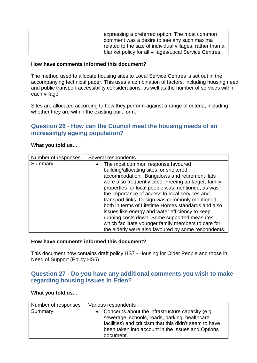| expressing a preferred option. The most common            |
|-----------------------------------------------------------|
| comment was a desire to see any such maxima               |
| related to the size of individual villages, rather than a |
| blanket policy for all villages/Local Service Centres.    |

The method used to allocate housing sites to Local Service Centres is set out in the accompanying technical paper. This uses a combination of factors, including housing need and public transport accessibility considerations, as well as the number of services within each village.

Sites are allocated according to how they perform against a range of criteria, including whether they are within the existing built form.

# **Question 26 - How can the Council meet the housing needs of an increasingly ageing population?**

#### **What you told us...**

| Number of responses | Several respondents                                                                                                                                                                                                                                                                                                                                                                                                                                                                                                                                                                                                      |
|---------------------|--------------------------------------------------------------------------------------------------------------------------------------------------------------------------------------------------------------------------------------------------------------------------------------------------------------------------------------------------------------------------------------------------------------------------------------------------------------------------------------------------------------------------------------------------------------------------------------------------------------------------|
| Summary             | • The most common response favoured<br>building/allocating sites for sheltered<br>accommodation. Bungalows and retirement flats<br>were also frequently cited. Freeing up larger, family<br>properties for local people was mentioned, as was<br>the importance of access to local services and<br>transport links. Design was commonly mentioned,<br>both in terms of Lifetime Homes standards and also<br>issues like energy and water efficiency to keep<br>running costs down. Some supported measures<br>which facilitate younger family members to care for<br>the elderly were also favoured by some respondents. |

#### **How have comments informed this document?**

This document now contains draft policy HS7 - Housing for Older People and those in Need of Support (Policy HS5)

## <span id="page-16-0"></span>**Question 27 - Do you have any additional comments you wish to make regarding housing issues in Eden?**

| Number of responses | Various respondents                                                                                                                                                                                                              |
|---------------------|----------------------------------------------------------------------------------------------------------------------------------------------------------------------------------------------------------------------------------|
| Summary             | • Concerns about the infrastructure capacity (e.g.<br>sewerage, schools, roads, parking, healthcare<br>facilities) and criticism that this didn't seem to have<br>been taken into account in the Issues and Options<br>document. |